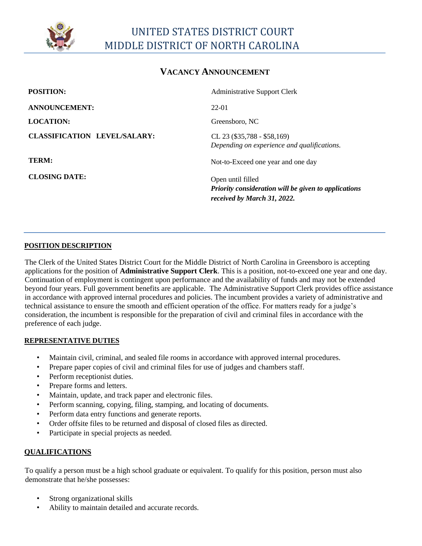

## **VACANCY ANNOUNCEMENT**

| <b>POSITION:</b>                    | <b>Administrative Support Clerk</b>                                                                      |
|-------------------------------------|----------------------------------------------------------------------------------------------------------|
| <b>ANNOUNCEMENT:</b>                | 22-01                                                                                                    |
| <b>LOCATION:</b>                    | Greensboro, NC                                                                                           |
| <b>CLASSIFICATION LEVEL/SALARY:</b> | CL 23 $(\$35,788 - \$58,169)$<br>Depending on experience and qualifications.                             |
| TERM:                               | Not-to-Exceed one year and one day                                                                       |
| <b>CLOSING DATE:</b>                | Open until filled<br>Priority consideration will be given to applications<br>received by March 31, 2022. |

#### **POSITION DESCRIPTION**

The Clerk of the United States District Court for the Middle District of North Carolina in Greensboro is accepting applications for the position of **Administrative Support Clerk**. This is a position, not-to-exceed one year and one day. Continuation of employment is contingent upon performance and the availability of funds and may not be extended beyond four years. Full government benefits are applicable. The Administrative Support Clerk provides office assistance in accordance with approved internal procedures and policies. The incumbent provides a variety of administrative and technical assistance to ensure the smooth and efficient operation of the office. For matters ready for a judge's consideration, the incumbent is responsible for the preparation of civil and criminal files in accordance with the preference of each judge.

### **REPRESENTATIVE DUTIES**

- Maintain civil, criminal, and sealed file rooms in accordance with approved internal procedures.
- Prepare paper copies of civil and criminal files for use of judges and chambers staff.
- Perform receptionist duties.
- Prepare forms and letters.
- Maintain, update, and track paper and electronic files.
- Perform scanning, copying, filing, stamping, and locating of documents.
- Perform data entry functions and generate reports.
- Order offsite files to be returned and disposal of closed files as directed.
- Participate in special projects as needed.

### **QUALIFICATIONS**

To qualify a person must be a high school graduate or equivalent. To qualify for this position, person must also demonstrate that he/she possesses:

- Strong organizational skills
- Ability to maintain detailed and accurate records.